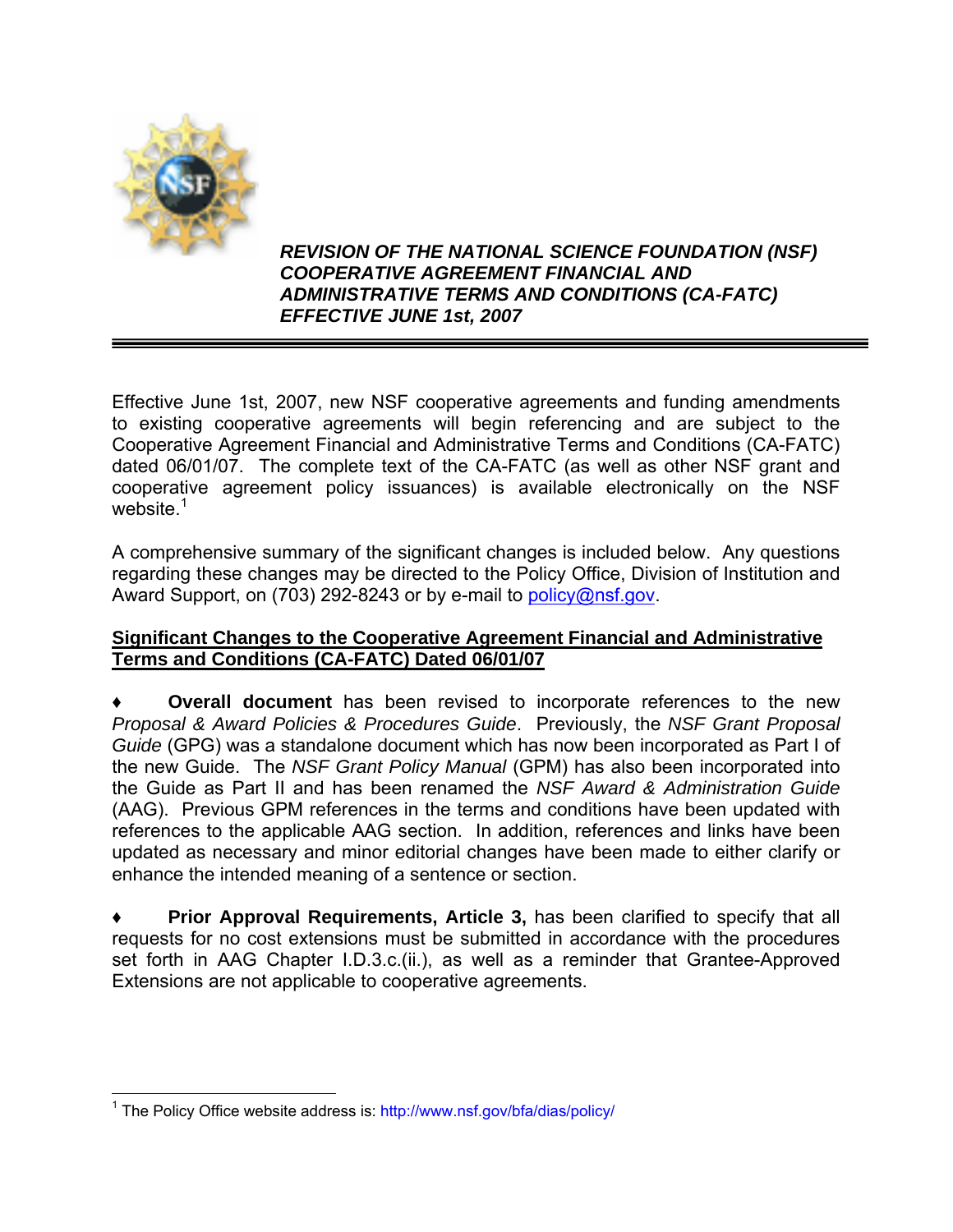

## *REVISION OF THE NATIONAL SCIENCE FOUNDATION (NSF) COOPERATIVE AGREEMENT FINANCIAL AND ADMINISTRATIVE TERMS AND CONDITIONS (CA-FATC) EFFECTIVE JUNE 1st, 2007*

Effective June 1st, 2007, new NSF cooperative agreements and funding amendments to existing cooperative agreements will begin referencing and are subject to the Cooperative Agreement Financial and Administrative Terms and Conditions (CA-FATC) dated 06/01/07. The complete text of the CA-FATC (as well as other NSF grant and cooperative agreement policy issuances) is available electronically on the NSF website.<sup>1</sup>

A comprehensive summary of the significant changes is included below. Any questions regarding these changes may be directed to the Policy Office, Division of Institution and Award Support, on (703) 292-8243 or by e-mail to policy@nsf.gov.

## **Significant Changes to the Cooperative Agreement Financial and Administrative Terms and Conditions (CA-FATC) Dated 06/01/07**

**Overall document** has been revised to incorporate references to the new *Proposal & Award Policies & Procedures Guide*. Previously, the *NSF Grant Proposal Guide* (GPG) was a standalone document which has now been incorporated as Part I of the new Guide. The *NSF Grant Policy Manual* (GPM) has also been incorporated into the Guide as Part II and has been renamed the *NSF Award & Administration Guide*  (AAG). Previous GPM references in the terms and conditions have been updated with references to the applicable AAG section. In addition, references and links have been updated as necessary and minor editorial changes have been made to either clarify or enhance the intended meaning of a sentence or section.

**Prior Approval Requirements, Article 3, has been clarified to specify that all** requests for no cost extensions must be submitted in accordance with the procedures set forth in AAG Chapter I.D.3.c.(ii.), as well as a reminder that Grantee-Approved Extensions are not applicable to cooperative agreements.

<sup>&</sup>lt;u>.</u> <sup>1</sup> The Policy Office website address is:<http://www.nsf.gov/bfa/dias/policy/>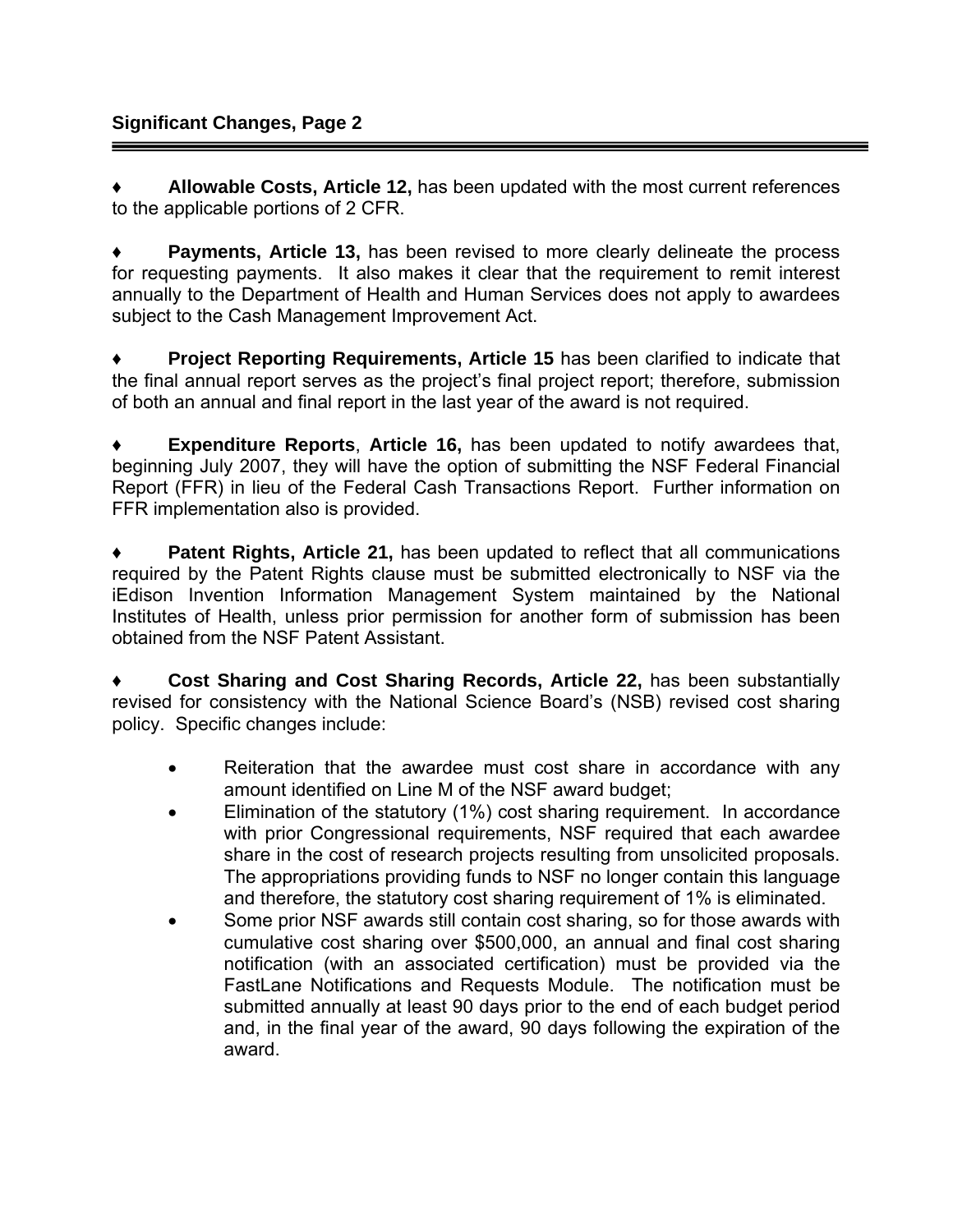## **Significant Changes, Page 2**

Allowable Costs, Article 12, has been updated with the most current references to the applicable portions of 2 CFR.

**Payments, Article 13, has been revised to more clearly delineate the process** for requesting payments. It also makes it clear that the requirement to remit interest annually to the Department of Health and Human Services does not apply to awardees subject to the Cash Management Improvement Act.

Project Reporting Requirements, Article 15 has been clarified to indicate that the final annual report serves as the project's final project report; therefore, submission of both an annual and final report in the last year of the award is not required.

**Expenditure Reports, Article 16, has been updated to notify awardees that,** beginning July 2007, they will have the option of submitting the NSF Federal Financial Report (FFR) in lieu of the Federal Cash Transactions Report. Further information on FFR implementation also is provided.

**Patent Rights, Article 21, has been updated to reflect that all communications** required by the Patent Rights clause must be submitted electronically to NSF via the iEdison Invention Information Management System maintained by the National Institutes of Health, unless prior permission for another form of submission has been obtained from the NSF Patent Assistant.

**Cost Sharing and Cost Sharing Records, Article 22, has been substantially** revised for consistency with the National Science Board's (NSB) revised cost sharing policy. Specific changes include:

- Reiteration that the awardee must cost share in accordance with any amount identified on Line M of the NSF award budget;
- Elimination of the statutory (1%) cost sharing requirement. In accordance with prior Congressional requirements, NSF required that each awardee share in the cost of research projects resulting from unsolicited proposals. The appropriations providing funds to NSF no longer contain this language and therefore, the statutory cost sharing requirement of 1% is eliminated.
- Some prior NSF awards still contain cost sharing, so for those awards with cumulative cost sharing over \$500,000, an annual and final cost sharing notification (with an associated certification) must be provided via the FastLane Notifications and Requests Module. The notification must be submitted annually at least 90 days prior to the end of each budget period and, in the final year of the award, 90 days following the expiration of the award.